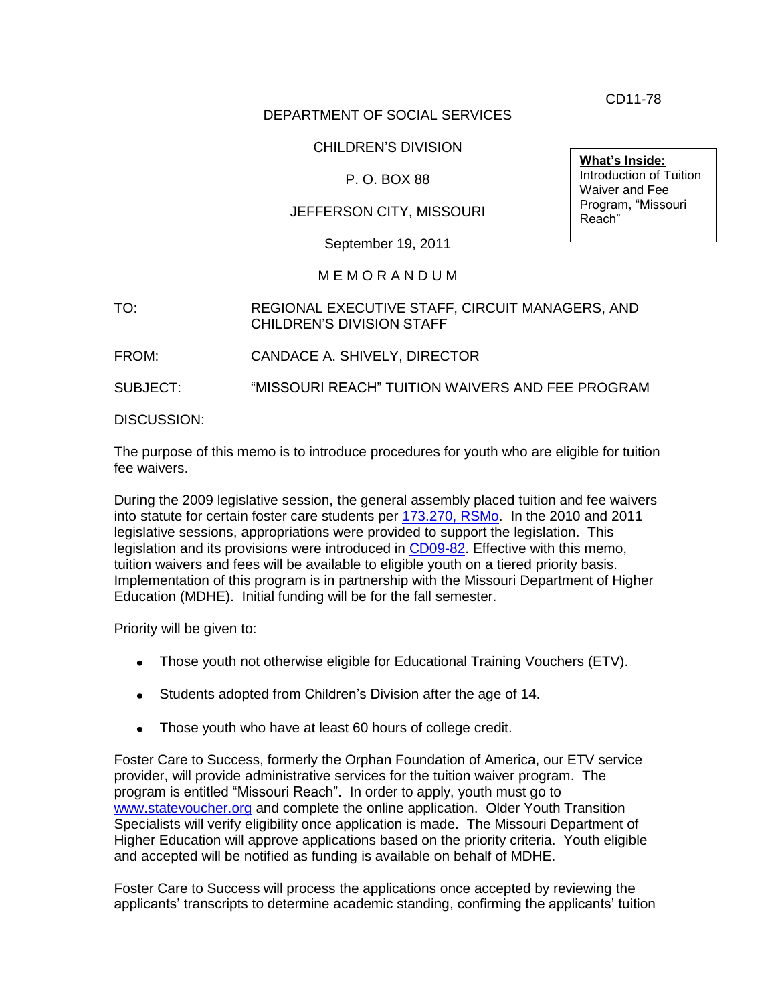CD11-78

# DEPARTMENT OF SOCIAL SERVICES

# CHILDREN'S DIVISION

# P. O. BOX 88

## JEFFERSON CITY, MISSOURI

September 19, 2011

#### M E M O R A N D U M

## TO: REGIONAL EXECUTIVE STAFF, CIRCUIT MANAGERS, AND CHILDREN'S DIVISION STAFF

FROM: CANDACE A. SHIVELY, DIRECTOR

SUBJECT: "MISSOURI REACH" TUITION WAIVERS AND FEE PROGRAM

DISCUSSION:

The purpose of this memo is to introduce procedures for youth who are eligible for tuition fee waivers.

During the 2009 legislative session, the general assembly placed tuition and fee waivers into statute for certain foster care students per [173.270, RSMo.](http://www.moga.mo.gov/statutes/C100-199/1730000270.HTM) In the 2010 and 2011 legislative sessions, appropriations were provided to support the legislation. This legislation and its provisions were introduced in [CD09-82.](http://www.dss.mo.gov/cd/info/memos/2009/cd0982.pdf) Effective with this memo, tuition waivers and fees will be available to eligible youth on a tiered priority basis. Implementation of this program is in partnership with the Missouri Department of Higher Education (MDHE). Initial funding will be for the fall semester.

Priority will be given to:

- Those youth not otherwise eligible for Educational Training Vouchers (ETV).
- Students adopted from Children's Division after the age of 14.
- Those youth who have at least 60 hours of college credit.

Foster Care to Success, formerly the Orphan Foundation of America, our ETV service provider, will provide administrative services for the tuition waiver program. The program is entitled "Missouri Reach". In order to apply, youth must go to [www.statevoucher.org](http://www.statevoucher.org/) and complete the online application. Older Youth Transition Specialists will verify eligibility once application is made. The Missouri Department of Higher Education will approve applications based on the priority criteria. Youth eligible and accepted will be notified as funding is available on behalf of MDHE.

Foster Care to Success will process the applications once accepted by reviewing the applicants' transcripts to determine academic standing, confirming the applicants' tuition

**What's Inside:** Introduction of Tuition Waiver and Fee Program, "Missouri Reach"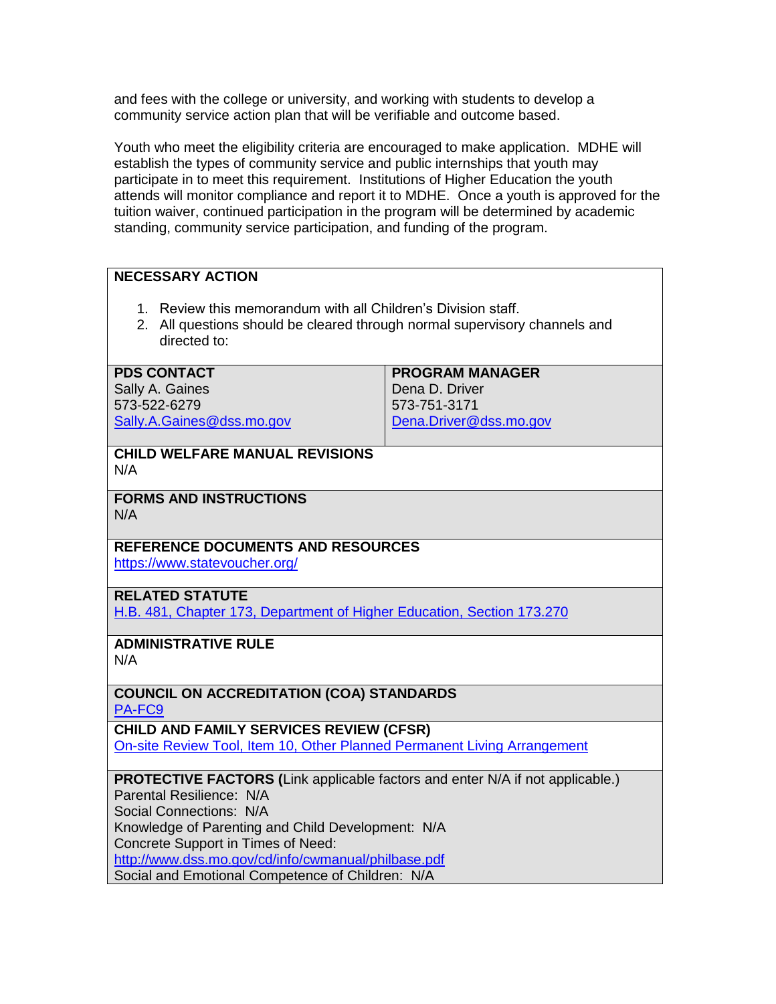and fees with the college or university, and working with students to develop a community service action plan that will be verifiable and outcome based.

Youth who meet the eligibility criteria are encouraged to make application. MDHE will establish the types of community service and public internships that youth may participate in to meet this requirement. Institutions of Higher Education the youth attends will monitor compliance and report it to MDHE. Once a youth is approved for the tuition waiver, continued participation in the program will be determined by academic standing, community service participation, and funding of the program.

# **NECESSARY ACTION**

- 1. Review this memorandum with all Children's Division staff.
- 2. All questions should be cleared through normal supervisory channels and directed to:

#### **PDS CONTACT**

Sally A. Gaines 573-522-6279 [Sally.A.Gaines@dss.mo.gov](mailto:Sally.A.Gaines@dss.mo.gov) **PROGRAM MANAGER** Dena D. Driver 573-751-3171 [Dena.Driver@dss.mo.gov](mailto:Dena.Driver@dss.mo.gov)

#### **CHILD WELFARE MANUAL REVISIONS** N/A

**FORMS AND INSTRUCTIONS** N/A

# **REFERENCE DOCUMENTS AND RESOURCES**

<https://www.statevoucher.org/>

#### **RELATED STATUTE**

[H.B. 481, Chapter 173, Department of Higher Education, Section 173.270](http://www.moga.mo.gov/statutes/C100-199/1730000270.HTM)

# **ADMINISTRATIVE RULE**

N/A

## **COUNCIL ON ACCREDITATION (COA) STANDARDS** [PA-FC9](http://www.coastandards.org/standards.php?navView=public&core_id=260)

**CHILD AND FAMILY SERVICES REVIEW (CFSR)** [On-site Review Tool, Item 10, Other Planned Permanent Living Arrangement](http://dssweb/cs/training/cfsr/cfsr_perm_i_10.pdf)

# **PROTECTIVE FACTORS (**Link applicable factors and enter N/A if not applicable.)

Parental Resilience: N/A

Social Connections: N/A

Knowledge of Parenting and Child Development: N/A

Concrete Support in Times of Need:

<http://www.dss.mo.gov/cd/info/cwmanual/philbase.pdf>

Social and Emotional Competence of Children: N/A